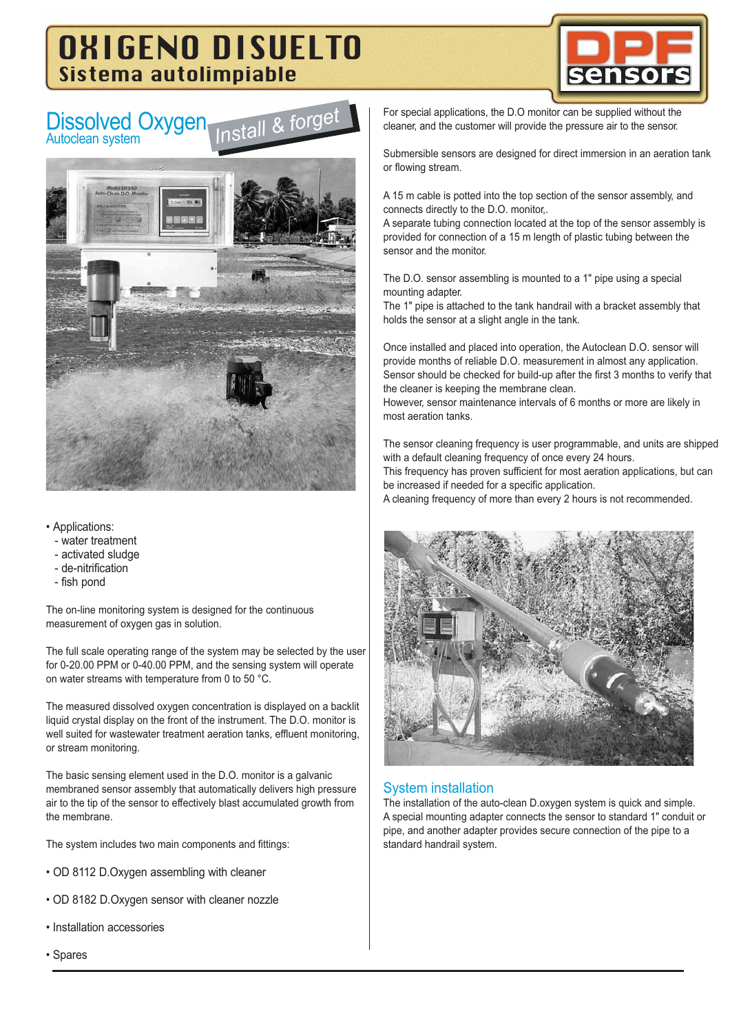# OXIGENO DISUELTO Sistema autolimpiable

*Install & forget*







- Applications:
	- water treatment
	- activated sludge
	- de-nitrification
	- fish pond

The on-line monitoring system is designed for the continuous measurement of oxygen gas in solution.

The full scale operating range of the system may be selected by the user for 0-20.00 PPM or 0-40.00 PPM, and the sensing system will operate on water streams with temperature from 0 to 50 °C.

The measured dissolved oxygen concentration is displayed on a backlit liquid crystal display on the front of the instrument. The D.O. monitor is well suited for wastewater treatment aeration tanks, effluent monitoring, or stream monitoring.

The basic sensing element used in the D.O. monitor is a galvanic membraned sensor assembly that automatically delivers high pressure air to the tip of the sensor to effectively blast accumulated growth from the membrane.

The system includes two main components and fittings:

- OD 8112 D.Oxygen assembling with cleaner
- OD 8182 D.Oxygen sensor with cleaner nozzle
- Installation accessories

For special applications, the D.O monitor can be supplied without the cleaner, and the customer will provide the pressure air to the sensor.

Submersible sensors are designed for direct immersion in an aeration tank or flowing stream.

A 15 m cable is potted into the top section of the sensor assembly, and connects directly to the D.O. monitor,.

A separate tubing connection located at the top of the sensor assembly is provided for connection of a 15 m length of plastic tubing between the sensor and the monitor.

The D.O. sensor assembling is mounted to a 1" pipe using a special mounting adapter.

The 1" pipe is attached to the tank handrail with a bracket assembly that holds the sensor at a slight angle in the tank.

Once installed and placed into operation, the Autoclean D.O. sensor will provide months of reliable D.O. measurement in almost any application. Sensor should be checked for build-up after the first 3 months to verify that the cleaner is keeping the membrane clean.

However, sensor maintenance intervals of 6 months or more are likely in most aeration tanks.

The sensor cleaning frequency is user programmable, and units are shipped with a default cleaning frequency of once every 24 hours. This frequency has proven sufficient for most aeration applications, but can be increased if needed for a specific application.

A cleaning frequency of more than every 2 hours is not recommended.



#### System installation

The installation of the auto-clean D.oxygen system is quick and simple. A special mounting adapter connects the sensor to standard 1" conduit or pipe, and another adapter provides secure connection of the pipe to a standard handrail system.

• Spares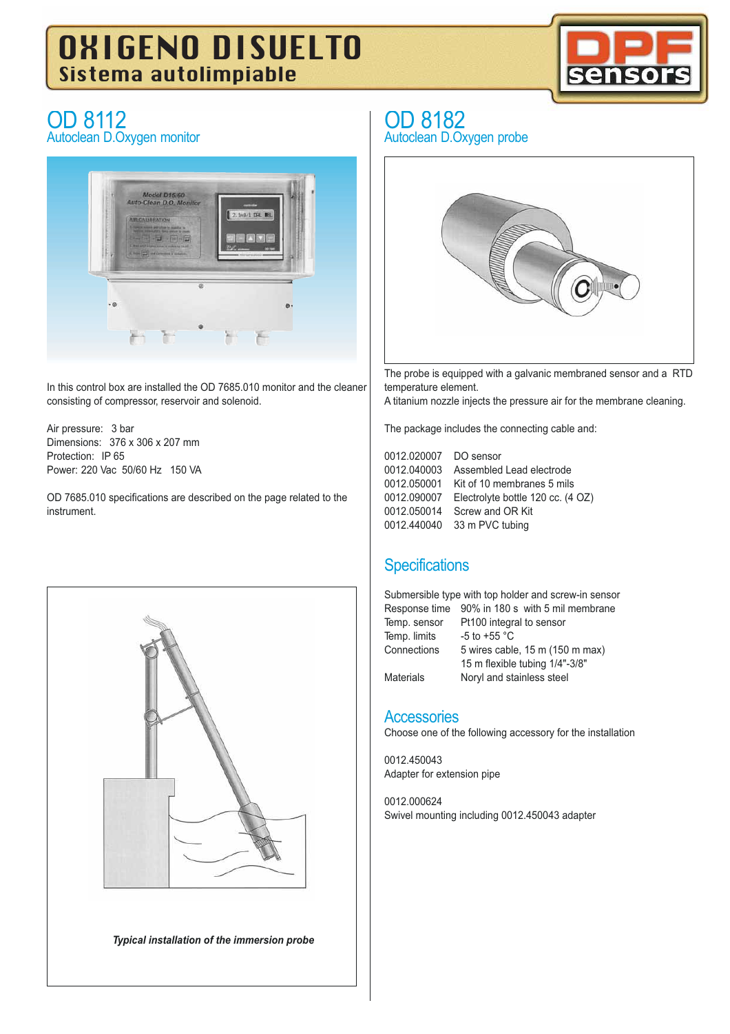# OXIGENO DISUELTO Sistema autolimpiable



## OD 8112 Autoclean D.Oxygen monitor



In this control box are installed the OD 7685.010 monitor and the cleaner consisting of compressor, reservoir and solenoid.

Air pressure: 3 bar Dimensions: 376 x 306 x 207 mm Protection: IP 65 Power: 220 Vac 50/60 Hz 150 VA

OD 7685.010 specifications are described on the page related to the instrument.



*Typical installation of the immersion probe*

## OD 8182

Autoclean D.Oxygen probe



The probe is equipped with a galvanic membraned sensor and a RTD temperature element.

A titanium nozzle injects the pressure air for the membrane cleaning.

The package includes the connecting cable and:

0012.020007 DO sensor 0012.040003 Assembled Lead electrode 0012.050001 Kit of 10 membranes 5 mils 0012.090007 Electrolyte bottle 120 cc. (4 OZ) 0012.050014 Screw and OR Kit 0012.440040 33 m PVC tubing

## **Specifications**

Submersible type with top holder and screw-in sensor Response time 90% in 180 s with 5 mil membrane Temp. sensor Pt100 integral to sensor Temp. limits  $-5$  to +55 °C Connections 5 wires cable, 15 m (150 m max) 15 m flexible tubing 1/4"-3/8" Materials Noryl and stainless steel

#### **Accessories**

Choose one of the following accessory for the installation

0012.450043 Adapter for extension pipe

0012.000624 Swivel mounting including 0012.450043 adapter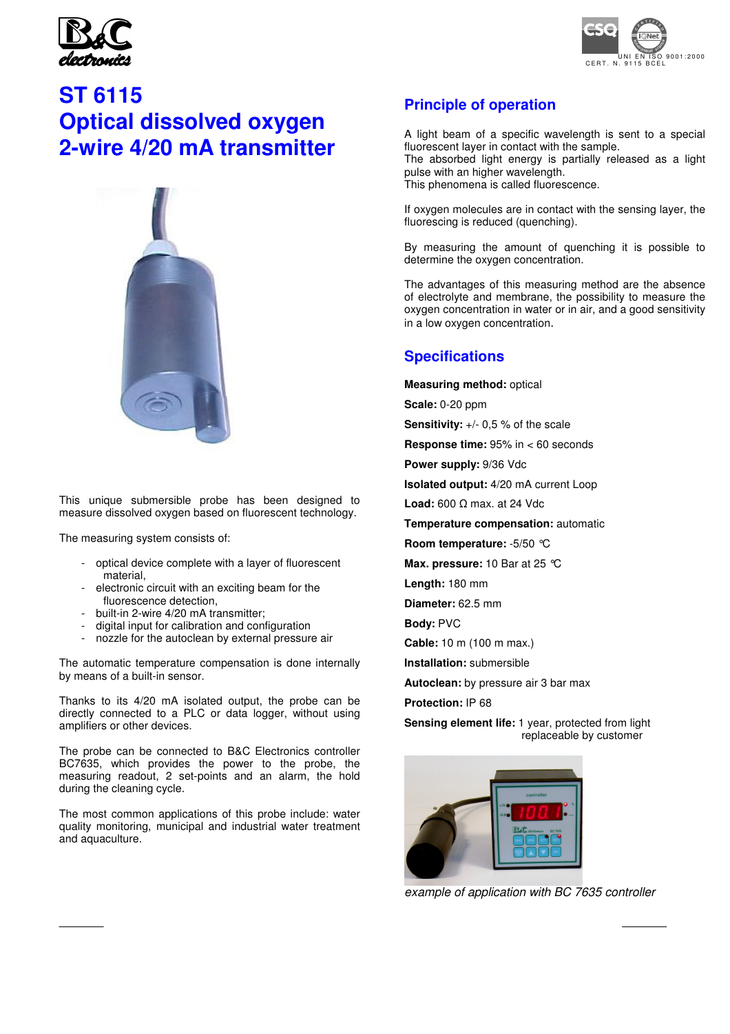



## **ST 6115 Optical dissolved oxygen 2-wire 4/20 mA transmitter**



This unique submersible probe has been designed to measure dissolved oxygen based on fluorescent technology.

The measuring system consists of:

- optical device complete with a layer of fluorescent material,
- electronic circuit with an exciting beam for the fluorescence detection,
- built-in 2-wire 4/20 mA transmitter:
- digital input for calibration and configuration
- nozzle for the autoclean by external pressure air

The automatic temperature compensation is done internally by means of a built-in sensor.

Thanks to its 4/20 mA isolated output, the probe can be directly connected to a PLC or data logger, without using amplifiers or other devices.

The probe can be connected to B&C Electronics controller BC7635, which provides the power to the probe, the measuring readout, 2 set-points and an alarm, the hold during the cleaning cycle.

The most common applications of this probe include: water quality monitoring, municipal and industrial water treatment and aquaculture.

#### **Principle of operation**

A light beam of a specific wavelength is sent to a special fluorescent layer in contact with the sample. The absorbed light energy is partially released as a light pulse with an higher wavelength.

This phenomena is called fluorescence.

If oxygen molecules are in contact with the sensing layer, the fluorescing is reduced (quenching).

By measuring the amount of quenching it is possible to determine the oxygen concentration.

The advantages of this measuring method are the absence of electrolyte and membrane, the possibility to measure the oxygen concentration in water or in air, and a good sensitivity in a low oxygen concentration.

#### **Specifications**

**Measuring method:** optical

**Scale:** 0-20 ppm

**Sensitivity:** +/- 0,5 % of the scale

**Response time:** 95% in < 60 seconds

**Power supply:** 9/36 Vdc

**Isolated output:** 4/20 mA current Loop

**Load:** 600 Ω max. at 24 Vdc

**Temperature compensation:** automatic

**Room temperature:** -5/50 °C

**Max. pressure:** 10 Bar at 25 °C

**Length:** 180 mm

**Diameter:** 62.5 mm

**Body:** PVC

B&C Electronics Srl - Via per Villanova 3 - 20040 Carnate (Mi) - Italy - P.IVA 00729030965

**Cable:** 10 m (100 m max.)

**Installation:** submersible

**Autoclean:** by pressure air 3 bar max

**Protection:** IP 68

**Sensing element life:** 1 year, protected from light replaceable by customer



example of application with BC 7635 controller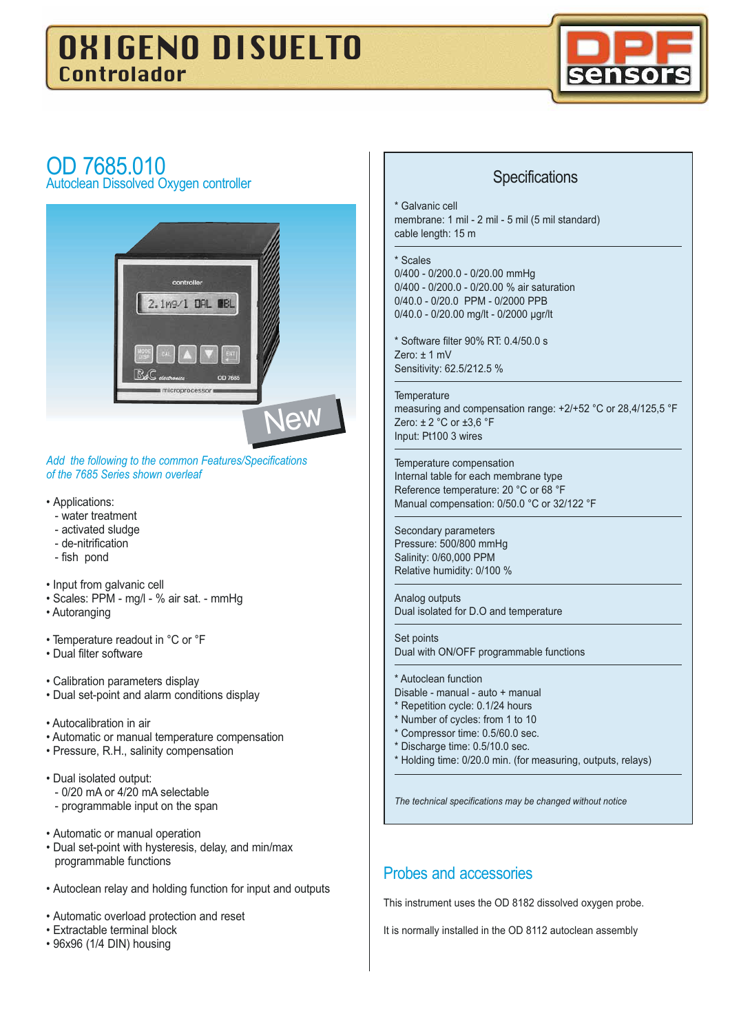# OXIGENO DISUELTO Controlador



# OD 7685.010

Autoclean Dissolved Oxygen controller



*Add the following to the common Features/Specifications of the 7685 Series shown overleaf*

- Applications:
	- water treatment
	- activated sludge
	- de-nitrification
	- fish pond
- Input from galvanic cell
- Scales: PPM mg/l % air sat. mmHg
- Autoranging
- Temperature readout in °C or °F
- Dual filter software
- Calibration parameters display
- Dual set-point and alarm conditions display
- Autocalibration in air
- Automatic or manual temperature compensation
- Pressure, R.H., salinity compensation
- Dual isolated output: - 0/20 mA or 4/20 mA selectable - programmable input on the span
- Automatic or manual operation
- Dual set-point with hysteresis, delay, and min/max programmable functions
- Autoclean relay and holding function for input and outputs
- Automatic overload protection and reset
- Extractable terminal block
- 96x96 (1/4 DIN) housing

#### **Specifications**

Galvanic cell membrane: 1 mil - 2 mil - 5 mil (5 mil standard) cable length: 15 m

#### \* Scales

0/400 - 0/200.0 - 0/20.00 mmHg 0/400 - 0/200.0 - 0/20.00 % air saturation 0/40.0 - 0/20.0 PPM - 0/2000 PPB 0/40.0 - 0/20.00 mg/lt - 0/2000 µgr/lt

\* Software filter 90% RT: 0.4/50.0 s Zero: ± 1 mV Sensitivity: 62.5/212.5 %

#### **Temperature**

measuring and compensation range: +2/+52 °C or 28,4/125,5 °F Zero: ± 2 °C or ±3,6 °F Input: Pt100 3 wires

Temperature compensation Internal table for each membrane type Reference temperature: 20 °C or 68 °F Manual compensation: 0/50.0 °C or 32/122 °F

Secondary parameters Pressure: 500/800 mmHg Salinity: 0/60,000 PPM Relative humidity: 0/100 %

Analog outputs Dual isolated for D.O and temperature

Set points Dual with ON/OFF programmable functions

#### \* Autoclean function

- Disable manual auto + manual
- \* Repetition cycle: 0.1/24 hours
- \* Number of cycles: from 1 to 10
- \* Compressor time: 0.5/60.0 sec.
- \* Discharge time: 0.5/10.0 sec.
- \* Holding time: 0/20.0 min. (for measuring, outputs, relays)

*The technical specifications may be changed without notice*

#### Probes and accessories

This instrument uses the OD 8182 dissolved oxygen probe.

It is normally installed in the OD 8112 autoclean assembly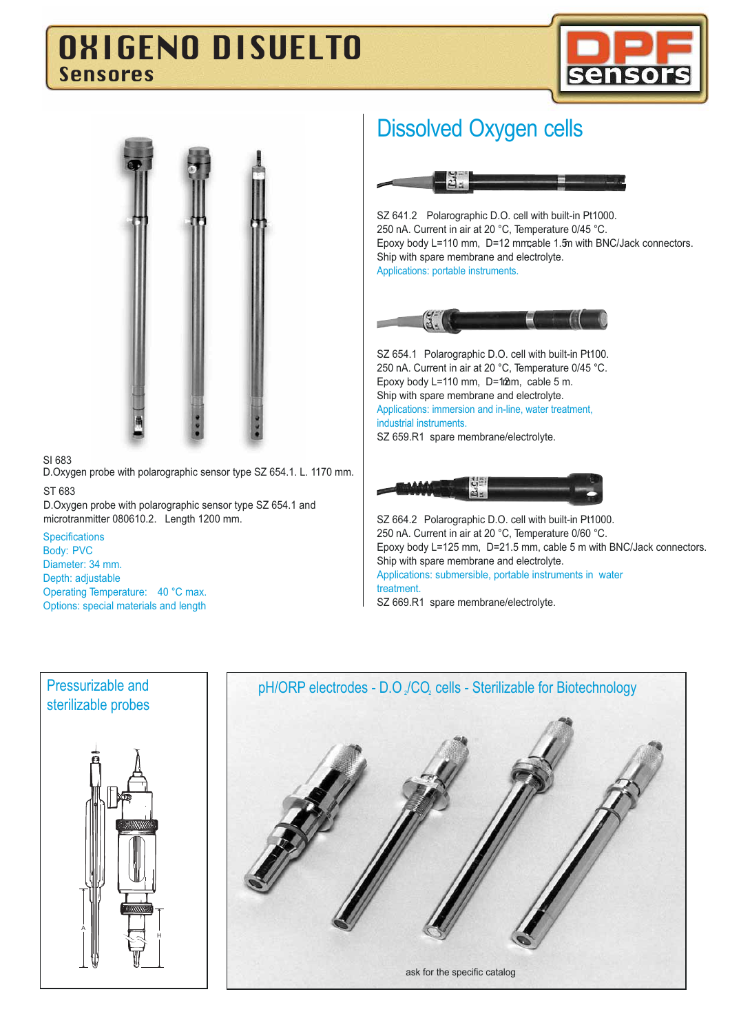# OXIGENO DISUELTO Sensores





#### SI 683

D.Oxygen probe with polarographic sensor type SZ 654.1. L. 1170 mm. ST 683

D.Oxygen probe with polarographic sensor type SZ 654.1 and microtranmitter 080610.2. Length 1200 mm.

**Specifications** 

Body: PVC Diameter: 34 mm. Depth: adjustable

Operating Temperature: 40 °C max. Options: special materials and length

## Dissolved Oxygen cells



SZ 641.2 Polarographic D.O. cell with built-in Pt1000. 250 nA. Current in air at 20 °C, Temperature 0/45 °C. Epoxy body L=110 mm, D=12 mm;able 1.5m with BNC/Jack connectors. Ship with spare membrane and electrolyte. Applications: portable instruments.



SZ 654.1 Polarographic D.O. cell with built-in Pt100. 250 nA. Current in air at 20 °C, Temperature 0/45 °C. Epoxy body L=110 mm, D=12hm, cable 5 m. Ship with spare membrane and electrolyte. Applications: immersion and in-line, water treatment, industrial instruments. SZ 659.R1 spare membrane/electrolyte.



SZ 664.2 Polarographic D.O. cell with built-in Pt1000. 250 nA. Current in air at 20 °C, Temperature 0/60 °C. Epoxy body L=125 mm, D=21.5 mm, cable 5 m with BNC/Jack connectors. Ship with spare membrane and electrolyte. Applications: submersible, portable instruments in water treatment. SZ 669.R1 spare membrane/electrolyte.



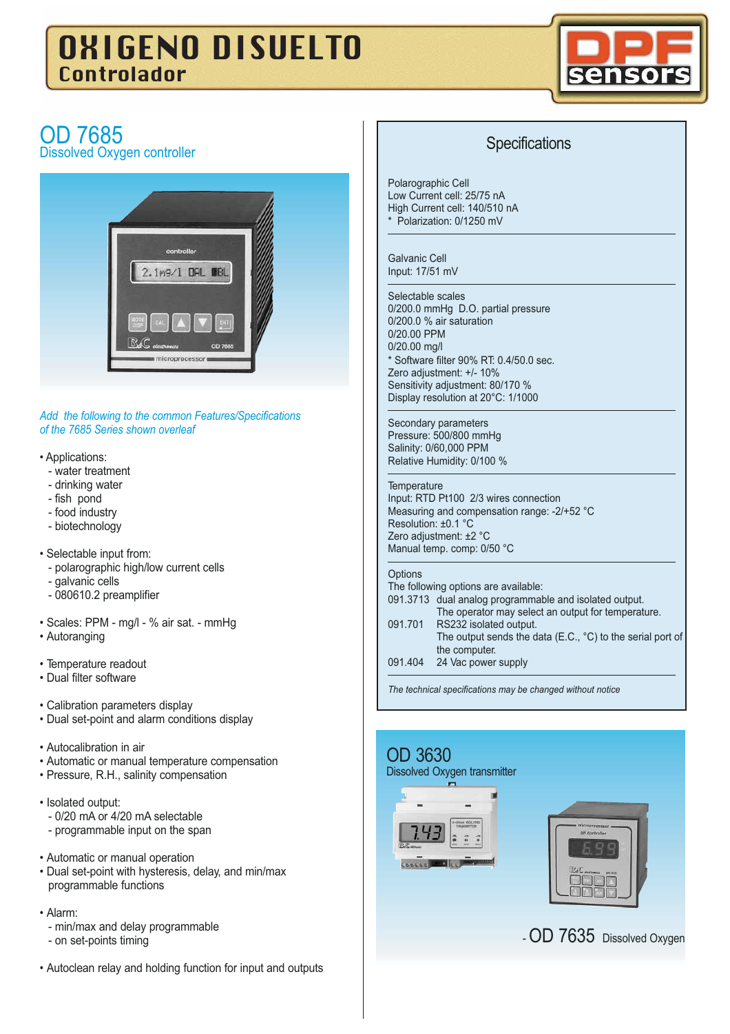# OXIGENO DISUELTO Controlador



## OD 7685 Dissolved Oxygen controller



*Add the following to the common Features/Specifications of the 7685 Series shown overleaf*

- Applications:
	- water treatment
	- drinking water
	- fish pond
	- food industry
	- biotechnology
- Selectable input from:
	- polarographic high/low current cells
	- galvanic cells
	- 080610.2 preamplifier
- Scales: PPM mg/l % air sat. mmHg
- Autoranging
- Temperature readout
- Dual filter software
- Calibration parameters display
- Dual set-point and alarm conditions display
- Autocalibration in air
- Automatic or manual temperature compensation
- Pressure, R.H., salinity compensation
- Isolated output:
	- 0/20 mA or 4/20 mA selectable
	- programmable input on the span
- Automatic or manual operation
- Dual set-point with hysteresis, delay, and min/max programmable functions
- Alarm:
	- min/max and delay programmable
	- on set-points timing
- Autoclean relay and holding function for input and outputs

## **Specifications**

Polarographic Cell Low Current cell: 25/75 nA High Current cell: 140/510 nA \* Polarization: 0/1250 mV

Galvanic Cell Input: 17/51 mV

#### Selectable scales

0/200.0 mmHg D.O. partial pressure 0/200.0 % air saturation 0/20.00 PPM 0/20.00 mg/l \* Software filter 90% RT: 0.4/50.0 sec. Zero adjustment: +/- 10% Sensitivity adjustment: 80/170 % Display resolution at 20°C: 1/1000

Secondary parameters Pressure: 500/800 mmHg Salinity: 0/60,000 PPM Relative Humidity: 0/100 %

#### **Temperature**

Input: RTD Pt100 2/3 wires connection Measuring and compensation range: -2/+52 °C Resolution: ±0.1 °C Zero adjustment: ±2 °C Manual temp. comp: 0/50 °C

#### **Options**

| The following options are available: |                                                                      |  |  |  |  |
|--------------------------------------|----------------------------------------------------------------------|--|--|--|--|
|                                      | 091.3713 dual analog programmable and isolated output.               |  |  |  |  |
|                                      | The operator may select an output for temperature.                   |  |  |  |  |
| 091.701                              | RS232 isolated output.                                               |  |  |  |  |
|                                      | The output sends the data (E.C., $^{\circ}$ C) to the serial port of |  |  |  |  |
|                                      | the computer.                                                        |  |  |  |  |
| 091.404                              | 24 Vac power supply                                                  |  |  |  |  |

*The technical specifications may be changed without notice*

# OD 3630 Dissolved Oxygen transmitter

- OD 7635 Dissolved Oxygen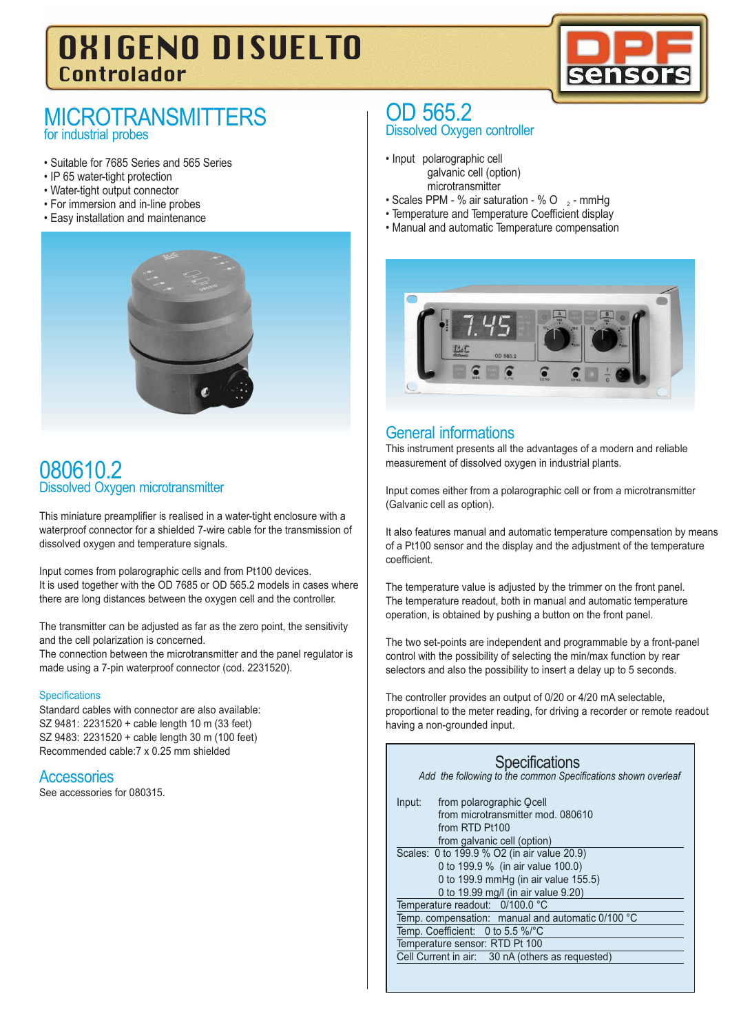# OXIGENO DISUELTO Controlador



## **MICROTRANSMITTERS** for industrial probes

- Suitable for 7685 Series and 565 Series
- IP 65 water-tight protection
- Water-tight output connector
- For immersion and in-line probes
- Easy installation and maintenance



## 080610.2 Dissolved Oxygen microtransmitter

This miniature preamplifier is realised in a water-tight enclosure with a waterproof connector for a shielded 7-wire cable for the transmission of dissolved oxygen and temperature signals.

Input comes from polarographic cells and from Pt100 devices. It is used together with the OD 7685 or OD 565.2 models in cases where there are long distances between the oxygen cell and the controller.

The transmitter can be adjusted as far as the zero point, the sensitivity and the cell polarization is concerned.

The connection between the microtransmitter and the panel regulator is made using a 7-pin waterproof connector (cod. 2231520).

#### **Specifications**

Standard cables with connector are also available: SZ 9481: 2231520 + cable length 10 m (33 feet) SZ 9483: 2231520 + cable length 30 m (100 feet) Recommended cable:7 x 0.25 mm shielded

#### **Accessories**

See accessories for 080315.

### OD 565.2 Dissolved Oxygen controller

- Input polarographic cell galvanic cell (option) microtransmitter
- Scales PPM % air saturation % O  $\rightarrow$  mmHg
- Temperature and Temperature Coefficient display
- Manual and automatic Temperature compensation



## General informations

This instrument presents all the advantages of a modern and reliable measurement of dissolved oxygen in industrial plants.

Input comes either from a polarographic cell or from a microtransmitter (Galvanic cell as option).

It also features manual and automatic temperature compensation by means of a Pt100 sensor and the display and the adjustment of the temperature coefficient.

The temperature value is adjusted by the trimmer on the front panel. The temperature readout, both in manual and automatic temperature operation, is obtained by pushing a button on the front panel.

The two set-points are independent and programmable by a front-panel control with the possibility of selecting the min/max function by rear selectors and also the possibility to insert a delay up to 5 seconds.

The controller provides an output of 0/20 or 4/20 mA selectable, proportional to the meter reading, for driving a recorder or remote readout having a non-grounded input.